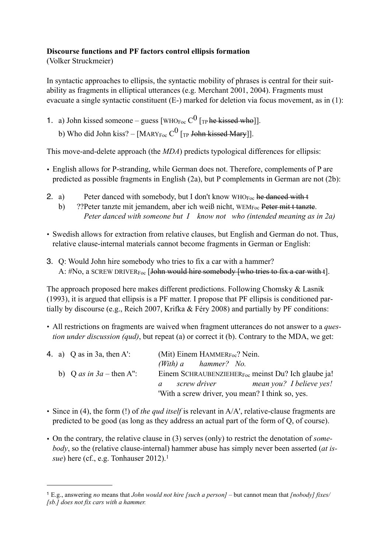## **Discourse functions and PF factors control ellipsis formation**

(Volker Struckmeier)

In syntactic approaches to ellipsis, the syntactic mobility of phrases is central for their suitability as fragments in elliptical utterances (e.g. Merchant 2001, 2004). Fragments must evacuate a single syntactic constituent (E-) marked for deletion via focus movement, as in (1):

1. a) John kissed someone – guess [WHO<sub>Foc</sub>  $C^0$  [<sub>TP</sub> he kissed who]].

b) Who did John kiss? – [MARYF<sub>oc</sub>  $C^0$  [<sub>TP</sub> John kissed Mary]].

This move-and-delete approach (the *MDA*) predicts typological differences for ellipsis:

- English allows for P-stranding, while German does not. Therefore, complements of P are predicted as possible fragments in English (2a), but P complements in German are not (2b):
- 2. a) Peter danced with somebody, but I don't know  $WHO_{Foc}$  he danced with t
	- b) ?? Peter tanzte mit jemandem, aber ich weiß nicht, WEM<sub>Foc</sub> Peter mit t tanzte. *Peter danced with someone but I know not who (intended meaning as in 2a)*
- Swedish allows for extraction from relative clauses, but English and German do not. Thus, relative clause-internal materials cannot become fragments in German or English:
- 3. Q: Would John hire somebody who tries to fix a car with a hammer? A:  $#No$ , a SCREW DRIVER<sub>Foc</sub> [John would hire somebody [who tries to fix a car with t].

The approach proposed here makes different predictions. Following Chomsky & Lasnik (1993), it is argued that ellipsis is a PF matter. I propose that PF ellipsis is conditioned partially by discourse (e.g., Reich 2007, Krifka & Féry 2008) and partially by PF conditions:

• All restrictions on fragments are waived when fragment utterances do not answer to a *question under discussion (qud)*, but repeat (a) or correct it (b). Contrary to the MDA, we get:

|  | 4. a) Q as in 3a, then A': | (Mit) Einem HAMMER $_{\text{Foc}}$ ? Nein.                      |  |  |
|--|----------------------------|-----------------------------------------------------------------|--|--|
|  |                            | (With) $a$ hammer? No.                                          |  |  |
|  | b) Q as in $3a$ – then A": | Einem SCHRAUBENZIEHER $_{\text{Foc}}$ meinst Du? Ich glaube ja! |  |  |
|  |                            | mean you? I believe yes!<br>screw driver<br>$\mathfrak{a}$      |  |  |
|  |                            | 'With a screw driver, you mean? I think so, yes.                |  |  |

- Since in (4), the form (!) of *the qud itself* is relevant in A/A', relative-clause fragments are predicted to be good (as long as they address an actual part of the form of Q, of course).
- On the contrary, the relative clause in (3) serves (only) to restrict the denotation of *somebody*, so the (relative clause-internal) hammer abuse has simply never been asserted (*at issue*) here (cf., e.g. Tonhauser 20[1](#page-0-0)2).<sup>1</sup>

<span id="page-0-0"></span><sup>1</sup> E.g., answering *no* means that *John would not hire [such a person] –* but cannot mean that *[nobody] fixes/ [sb.] does not fix cars with a hammer.*